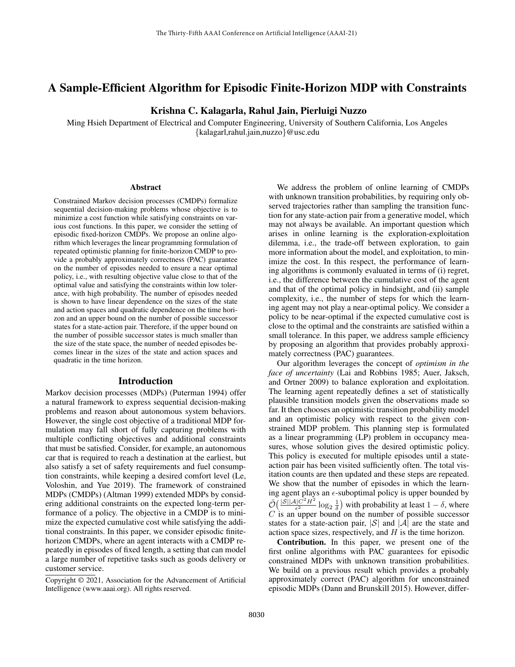# A Sample-Efficient Algorithm for Episodic Finite-Horizon MDP with Constraints

## Krishna C. Kalagarla, Rahul Jain, Pierluigi Nuzzo

Ming Hsieh Department of Electrical and Computer Engineering, University of Southern California, Los Angeles {kalagarl,rahul.jain,nuzzo}@usc.edu

#### Abstract

Constrained Markov decision processes (CMDPs) formalize sequential decision-making problems whose objective is to minimize a cost function while satisfying constraints on various cost functions. In this paper, we consider the setting of episodic fixed-horizon CMDPs. We propose an online algorithm which leverages the linear programming formulation of repeated optimistic planning for finite-horizon CMDP to provide a probably approximately correctness (PAC) guarantee on the number of episodes needed to ensure a near optimal policy, i.e., with resulting objective value close to that of the optimal value and satisfying the constraints within low tolerance, with high probability. The number of episodes needed is shown to have linear dependence on the sizes of the state and action spaces and quadratic dependence on the time horizon and an upper bound on the number of possible successor states for a state-action pair. Therefore, if the upper bound on the number of possible successor states is much smaller than the size of the state space, the number of needed episodes becomes linear in the sizes of the state and action spaces and quadratic in the time horizon.

### Introduction

Markov decision processes (MDPs) (Puterman 1994) offer a natural framework to express sequential decision-making problems and reason about autonomous system behaviors. However, the single cost objective of a traditional MDP formulation may fall short of fully capturing problems with multiple conflicting objectives and additional constraints that must be satisfied. Consider, for example, an autonomous car that is required to reach a destination at the earliest, but also satisfy a set of safety requirements and fuel consumption constraints, while keeping a desired comfort level (Le, Voloshin, and Yue 2019). The framework of constrained MDPs (CMDPs) (Altman 1999) extended MDPs by considering additional constraints on the expected long-term performance of a policy. The objective in a CMDP is to minimize the expected cumulative cost while satisfying the additional constraints. In this paper, we consider episodic finitehorizon CMDPs, where an agent interacts with a CMDP repeatedly in episodes of fixed length, a setting that can model a large number of repetitive tasks such as goods delivery or customer service.

We address the problem of online learning of CMDPs with unknown transition probabilities, by requiring only observed trajectories rather than sampling the transition function for any state-action pair from a generative model, which may not always be available. An important question which arises in online learning is the exploration-exploitation dilemma, i.e., the trade-off between exploration, to gain more information about the model, and exploitation, to minimize the cost. In this respect, the performance of learning algorithms is commonly evaluated in terms of (i) regret, i.e., the difference between the cumulative cost of the agent and that of the optimal policy in hindsight, and (ii) sample complexity, i.e., the number of steps for which the learning agent may not play a near-optimal policy. We consider a policy to be near-optimal if the expected cumulative cost is close to the optimal and the constraints are satisfied within a small tolerance. In this paper, we address sample efficiency by proposing an algorithm that provides probably approximately correctness (PAC) guarantees.

Our algorithm leverages the concept of *optimism in the face of uncertainty* (Lai and Robbins 1985; Auer, Jaksch, and Ortner 2009) to balance exploration and exploitation. The learning agent repeatedly defines a set of statistically plausible transition models given the observations made so far. It then chooses an optimistic transition probability model and an optimistic policy with respect to the given constrained MDP problem. This planning step is formulated as a linear programming (LP) problem in occupancy measures, whose solution gives the desired optimistic policy. This policy is executed for multiple episodes until a stateaction pair has been visited sufficiently often. The total visitation counts are then updated and these steps are repeated. We show that the number of episodes in which the learning agent plays an  $\epsilon$ -suboptimal policy is upper bounded by  $\tilde{\mathcal{O}}\big( \frac{|\mathcal{S}||\mathcal{A}|C^2H^2}{\epsilon^2}$  $\frac{1}{2} \frac{C^2 H^2}{c^2} \log_2 \frac{1}{\delta}$  with probability at least  $1 - \delta$ , where  $C$  is an upper bound on the number of possible successor states for a state-action pair,  $|S|$  and  $|A|$  are the state and action space sizes, respectively, and  $H$  is the time horizon.

Contribution. In this paper, we present one of the first online algorithms with PAC guarantees for episodic constrained MDPs with unknown transition probabilities. We build on a previous result which provides a probably approximately correct (PAC) algorithm for unconstrained episodic MDPs (Dann and Brunskill 2015). However, differ-

Copyright © 2021, Association for the Advancement of Artificial Intelligence (www.aaai.org). All rights reserved.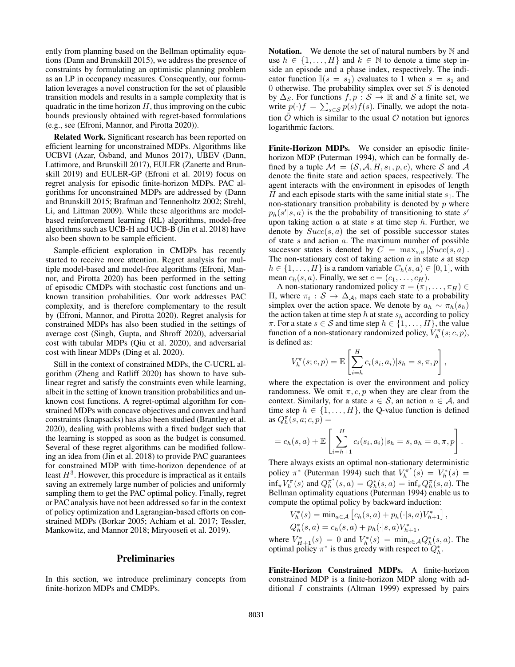ently from planning based on the Bellman optimality equations (Dann and Brunskill 2015), we address the presence of constraints by formulating an optimistic planning problem as an LP in occupancy measures. Consequently, our formulation leverages a novel construction for the set of plausible transition models and results in a sample complexity that is quadratic in the time horizon  $H$ , thus improving on the cubic bounds previously obtained with regret-based formulations (e.g., see (Efroni, Mannor, and Pirotta 2020)).

Related Work. Significant research has been reported on efficient learning for unconstrained MDPs. Algorithms like UCBVI (Azar, Osband, and Munos 2017), UBEV (Dann, Lattimore, and Brunskill 2017), EULER (Zanette and Brunskill 2019) and EULER-GP (Efroni et al. 2019) focus on regret analysis for episodic finite-horizon MDPs. PAC algorithms for unconstrained MDPs are addressed by (Dann and Brunskill 2015; Brafman and Tennenholtz 2002; Strehl, Li, and Littman 2009). While these algorithms are modelbased reinforcement learning (RL) algorithms, model-free algorithms such as UCB-H and UCB-B (Jin et al. 2018) have also been shown to be sample efficient.

Sample-efficient exploration in CMDPs has recently started to receive more attention. Regret analysis for multiple model-based and model-free algorithms (Efroni, Mannor, and Pirotta 2020) has been performed in the setting of episodic CMDPs with stochastic cost functions and unknown transition probabilities. Our work addresses PAC complexity, and is therefore complementary to the result by (Efroni, Mannor, and Pirotta 2020). Regret analysis for constrained MDPs has also been studied in the settings of average cost (Singh, Gupta, and Shroff 2020), adversarial cost with tabular MDPs (Qiu et al. 2020), and adversarial cost with linear MDPs (Ding et al. 2020).

Still in the context of constrained MDPs, the C-UCRL algorithm (Zheng and Ratliff 2020) has shown to have sublinear regret and satisfy the constraints even while learning, albeit in the setting of known transition probabilities and unknown cost functions. A regret-optimal algorithm for constrained MDPs with concave objectives and convex and hard constraints (knapsacks) has also been studied (Brantley et al. 2020), dealing with problems with a fixed budget such that the learning is stopped as soon as the budget is consumed. Several of these regret algorithms can be modified following an idea from (Jin et al. 2018) to provide PAC guarantees for constrained MDP with time-horizon dependence of at least  $H^3$ . However, this procedure is impractical as it entails saving an extremely large number of policies and uniformly sampling them to get the PAC optimal policy. Finally, regret or PAC analysis have not been addressed so far in the context of policy optimization and Lagrangian-based efforts on constrained MDPs (Borkar 2005; Achiam et al. 2017; Tessler, Mankowitz, and Mannor 2018; Miryoosefi et al. 2019).

### Preliminaries

In this section, we introduce preliminary concepts from finite-horizon MDPs and CMDPs.

**Notation.** We denote the set of natural numbers by  $\mathbb N$  and use  $h \in \{1, \ldots, H\}$  and  $k \in \mathbb{N}$  to denote a time step inside an episode and a phase index, respectively. The indicator function  $\mathbb{I}(s = s_1)$  evaluates to 1 when  $s = s_1$  and 0 otherwise. The probability simplex over set  $S$  is denoted by  $\Delta_S$ . For functions  $f, p : S \to \mathbb{R}$  and S a finite set, we write  $p(\cdot)f = \sum_{s \in \mathcal{S}} p(s)f(s)$ . Finally, we adopt the notation  $\hat{O}$  which is similar to the usual  $\hat{O}$  notation but ignores logarithmic factors.

Finite-Horizon MDPs. We consider an episodic finitehorizon MDP (Puterman 1994), which can be formally defined by a tuple  $\mathcal{M} = (\mathcal{S}, \mathcal{A}, H, s_1, p, c)$ , where S and A denote the finite state and action spaces, respectively. The agent interacts with the environment in episodes of length H and each episode starts with the same initial state  $s_1$ . The non-stationary transition probability is denoted by  $p$  where  $p_h(s'|s, a)$  is the the probability of transitioning to state s' upon taking action  $a$  at state  $s$  at time step  $h$ . Further, we denote by  $Succ(s, a)$  the set of possible successor states of state  $s$  and action  $a$ . The maximum number of possible successor states is denoted by  $C = \max_{s,a} |Succ(s,a)|$ . The non-stationary cost of taking action  $a$  in state  $s$  at step  $h \in \{1, \ldots, H\}$  is a random variable  $C_h(s, a) \in [0, 1]$ , with mean  $c_h(s, a)$ . Finally, we set  $c = (c_1, \ldots, c_H)$ .

A non-stationary randomized policy  $\pi = (\pi_1, \dots, \pi_H) \in$  $\Pi$ , where  $\pi$ <sub>*i*</sub> : *S* → Δ<sub>*A*</sub>, maps each state to a probability simplex over the action space. We denote by  $a_h \sim \pi_h(s_h)$ the action taken at time step  $h$  at state  $s_h$  according to policy  $\pi$ . For a state  $s \in \mathcal{S}$  and time step  $h \in \{1, \ldots, H\}$ , the value function of a non-stationary randomized policy,  $V_h^{\pi}(s; c, p)$ , is defined as:

$$
V_h^{\pi}(s; c, p) = \mathbb{E}\left[\sum_{i=h}^{H} c_i(s_i, a_i) | s_h = s, \pi, p\right],
$$

where the expectation is over the environment and policy randomness. We omit  $\pi$ , c, p when they are clear from the context. Similarly, for a state  $s \in S$ , an action  $a \in A$ , and time step  $h \in \{1, \ldots, H\}$ , the Q-value function is defined as  $Q_h^{\pi}(s, a; c, p) =$ 

$$
= c_h(s, a) + \mathbb{E}\left[\sum_{i=h+1}^H c_i(s_i, a_i)|s_h = s, a_h = a, \pi, p\right].
$$

There always exists an optimal non-stationary deterministic policy  $\pi^*$  (Puterman 1994) such that  $V_h^{\pi^*}(s) = V_h^*(s) =$  $\inf_{\pi} V_h^{\pi}(s)$  and  $Q_h^{\pi^*}(s, a) = Q_h^*(s, a) = \inf_{\pi} Q_h^{\pi}(s, a)$ . The Bellman optimality equations (Puterman 1994) enable us to compute the optimal policy by backward induction:

$$
V_h^*(s) = \min_{a \in \mathcal{A}} [c_h(s, a) + p_h(\cdot | s, a)V_{h+1}^*],
$$
  

$$
Q_h^*(s, a) = c_h(s, a) + p_h(\cdot | s, a)V_{h+1}^*,
$$

where  $V_{H+1}^*(s) = 0$  and  $V_h^*(s) = \min_{a \in \mathcal{A}} Q_h^*(s, a)$ . The optimal policy  $\pi^*$  is thus greedy with respect to  $Q_h^*$ .

Finite-Horizon Constrained MDPs. A finite-horizon constrained MDP is a finite-horizon MDP along with additional I constraints (Altman 1999) expressed by pairs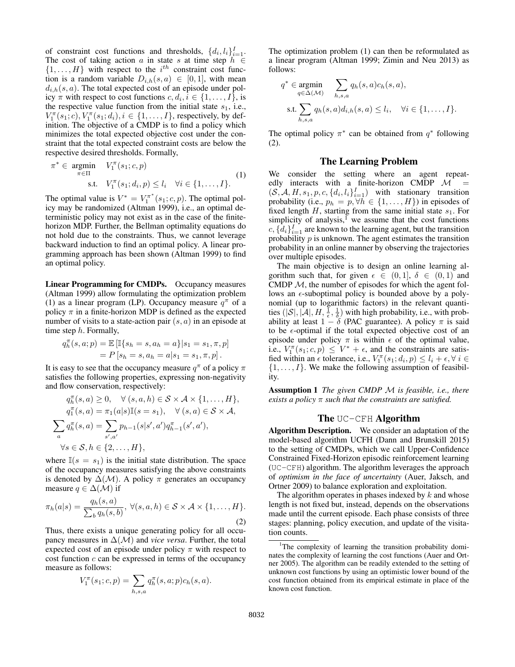of constraint cost functions and thresholds,  $\{d_i, l_i\}_{i=1}^I$ . The cost of taking action  $a$  in state  $s$  at time step  $h \in$  $\{1, \ldots, H\}$  with respect to the  $i^{th}$  constraint cost function is a random variable  $D_{i,h}(s, a) \in [0, 1]$ , with mean  $d_{i,h}(s, a)$ . The total expected cost of an episode under policy  $\pi$  with respect to cost functions  $c, d_i, i \in \{1, \dots, I\}$ , is the respective value function from the initial state  $s_1$ , i.e.,  $V_1^{\pi}(s_1; c), V_1^{\pi}(s_1; d_i), i \in \{1, ..., I\}$ , respectively, by definition. The objective of a CMDP is to find a policy which minimizes the total expected objective cost under the constraint that the total expected constraint costs are below the respective desired thresholds. Formally,

$$
\pi^* \in \underset{\pi \in \Pi}{\text{argmin}} \quad V_1^{\pi}(s_1; c, p) \n\text{s.t.} \quad V_1^{\pi}(s_1; d_i, p) \le l_i \quad \forall i \in \{1, \dots, I\}. \tag{1}
$$

The optimal value is  $V^* = V_1^{\pi^*}(s_1; c, p)$ . The optimal policy may be randomized (Altman 1999), i.e., an optimal deterministic policy may not exist as in the case of the finitehorizon MDP. Further, the Bellman optimality equations do not hold due to the constraints. Thus, we cannot leverage backward induction to find an optimal policy. A linear programming approach has been shown (Altman 1999) to find an optimal policy.

Linear Programming for CMDPs. Occupancy measures (Altman 1999) allow formulating the optimization problem (1) as a linear program (LP). Occupancy measure  $q^{\pi}$  of a policy  $\pi$  in a finite-horizon MDP is defined as the expected number of visits to a state-action pair  $(s, a)$  in an episode at time step h. Formally,

$$
q_h^{\pi}(s, a; p) = \mathbb{E} [\mathbb{I}\{s_h = s, a_h = a\} | s_1 = s_1, \pi, p]
$$
  
=  $P[s_h = s, a_h = a | s_1 = s_1, \pi, p].$ 

It is easy to see that the occupancy measure  $q^{\pi}$  of a policy  $\pi$ satisfies the following properties, expressing non-negativity and flow conservation, respectively:

$$
q_h^{\pi}(s, a) \ge 0, \quad \forall (s, a, h) \in \mathcal{S} \times \mathcal{A} \times \{1, \dots, H\},
$$
  
\n
$$
q_1^{\pi}(s, a) = \pi_1(a|s) \mathbb{I}(s = s_1), \quad \forall (s, a) \in \mathcal{S} \times \mathcal{A},
$$
  
\n
$$
\sum_a q_h^{\pi}(s, a) = \sum_{s', a'} p_{h-1}(s|s', a') q_{h-1}^{\pi}(s', a'),
$$
  
\n
$$
\forall s \in \mathcal{S}, h \in \{2, \dots, H\},
$$

where  $\mathbb{I}(s = s_1)$  is the initial state distribution. The space of the occupancy measures satisfying the above constraints is denoted by  $\Delta(\mathcal{M})$ . A policy  $\pi$  generates an occupancy measure  $q \in \Delta(\mathcal{M})$  if

$$
\pi_h(a|s) = \frac{q_h(s,a)}{\sum_b q_h(s,b)}, \ \forall (s,a,h) \in \mathcal{S} \times \mathcal{A} \times \{1,\ldots,H\}.
$$
\n(2)

Thus, there exists a unique generating policy for all occupancy measures in  $\Delta(\mathcal{M})$  and *vice versa*. Further, the total expected cost of an episode under policy  $\pi$  with respect to cost function  $c$  can be expressed in terms of the occupancy measure as follows:

$$
V_1^{\pi}(s_1; c, p) = \sum_{h, s, a} q_h^{\pi}(s, a; p) c_h(s, a).
$$

The optimization problem (1) can then be reformulated as a linear program (Altman 1999; Zimin and Neu 2013) as follows:

$$
q^* \in \underset{q \in \Delta(\mathcal{M})}{\text{argmin}} \sum_{h,s,a} q_h(s,a)c_h(s,a),
$$
  
s.t. 
$$
\sum_{h,s,a} q_h(s,a)d_{i,h}(s,a) \le l_i, \quad \forall i \in \{1,\dots,I\}.
$$

The optimal policy  $\pi^*$  can be obtained from  $q^*$  following (2).

### The Learning Problem

We consider the setting where an agent repeatedly interacts with a finite-horizon CMDP  $\mathcal{M}$  =  $(S, \mathcal{A}, H, s_1, p, c, \{d_i, l_i\}_{i=1}^I)$  with stationary transition probability (i.e.,  $p_h = p, \forall h \in \{1, ..., H\}$ ) in episodes of fixed length  $H$ , starting from the same initial state  $s_1$ . For simplicity of analysis, $\frac{1}{1}$  we assume that the cost functions  $c, \{d_i\}_{i=1}^I$  are known to the learning agent, but the transition probability  $p$  is unknown. The agent estimates the transition probability in an online manner by observing the trajectories over multiple episodes.

The main objective is to design an online learning algorithm such that, for given  $\epsilon \in (0,1]$ ,  $\delta \in (0,1)$  and CMDP  $M$ , the number of episodes for which the agent follows an  $\epsilon$ -suboptimal policy is bounded above by a polynomial (up to logarithmic factors) in the relevant quantities  $(|\mathcal{S}|, |\mathcal{A}|, H, \frac{1}{\epsilon}, \frac{1}{\delta})$  with high probability, i.e., with probability at least  $1 - \delta$  (PAC guarantee). A policy  $\pi$  is said to be  $\epsilon$ -optimal if the total expected objective cost of an episode under policy  $\pi$  is within  $\epsilon$  of the optimal value, i.e.,  $V_1^{\pi}(s_1; c, p) \leq V^* + \epsilon$ , and the constraints are satisfied within an  $\epsilon$  tolerance, i.e.,  $V_1^{\pi}(s_1; d_i, p) \le l_i + \epsilon, \forall i \in$  $\{1, \ldots, I\}$ . We make the following assumption of feasibility.

Assumption 1 *The given CMDP* M *is feasible, i.e., there exists a policy* π *such that the constraints are satisfied.*

#### The UC-CFH Algorithm

Algorithm Description. We consider an adaptation of the model-based algorithm UCFH (Dann and Brunskill 2015) to the setting of CMDPs, which we call Upper-Confidence Constrained Fixed-Horizon episodic reinforcement learning (UC-CFH) algorithm. The algorithm leverages the approach of *optimism in the face of uncertainty* (Auer, Jaksch, and Ortner 2009) to balance exploration and exploitation.

The algorithm operates in phases indexed by  $k$  and whose length is not fixed but, instead, depends on the observations made until the current episode. Each phase consists of three stages: planning, policy execution, and update of the visitation counts.

<sup>&</sup>lt;sup>1</sup>The complexity of learning the transition probability dominates the complexity of learning the cost functions (Auer and Ortner 2005). The algorithm can be readily extended to the setting of unknown cost functions by using an optimistic lower bound of the cost function obtained from its empirical estimate in place of the known cost function.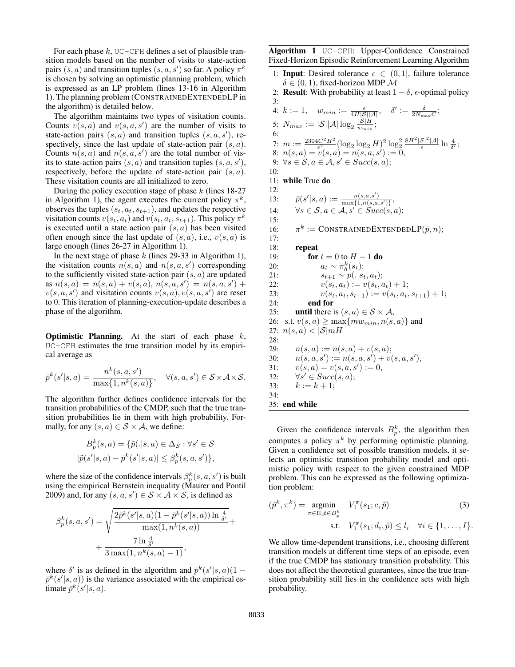For each phase  $k$ , UC-CFH defines a set of plausible transition models based on the number of visits to state-action pairs  $(s, a)$  and transition tuples  $(s, a, s')$  so far. A policy  $\pi^k$ is chosen by solving an optimistic planning problem, which is expressed as an LP problem (lines 13-16 in Algorithm 1). The planning problem (CONSTRAINEDEXTENDEDLP in the algorithm) is detailed below.

The algorithm maintains two types of visitation counts. Counts  $v(s, a)$  and  $v(s, a, s')$  are the number of visits to state-action pairs  $(s, a)$  and transition tuples  $(s, a, s')$ , respectively, since the last update of state-action pair  $(s, a)$ . Counts  $n(s, a)$  and  $n(s, a, s')$  are the total number of visits to state-action pairs  $(s, a)$  and transition tuples  $(s, a, s')$ , respectively, before the update of state-action pair  $(s, a)$ . These visitation counts are all initialized to zero.

During the policy execution stage of phase  $k$  (lines 18-27) in Algorithm 1), the agent executes the current policy  $\pi^k$ , observes the tuples  $(s_t, a_t, s_{t+1})$ , and updates the respective visitation counts  $v(s_t, a_t)$  and  $v(s_t, a_t, s_{t+1})$ . This policy  $\pi^k$ is executed until a state action pair  $(s, a)$  has been visited often enough since the last update of  $(s, a)$ , i.e.,  $v(s, a)$  is large enough (lines 26-27 in Algorithm 1).

In the next stage of phase  $k$  (lines 29-33 in Algorithm 1), the visitation counts  $n(s, a)$  and  $n(s, a, s')$  corresponding to the sufficiently visited state-action pair  $(s, a)$  are updated as  $n(s, a) = n(s, a) + v(s, a), n(s, a, s') = n(s, a, s') +$  $v(s, a, s')$  and visitation counts  $v(s, a), v(s, a, s')$  are reset to 0. This iteration of planning-execution-update describes a phase of the algorithm.

**Optimistic Planning.** At the start of each phase  $k$ , UC-CFH estimates the true transition model by its empirical average as

$$
\bar{p}^k(s'|s,a) = \frac{n^k(s,a,s')}{\max\{1,n^k(s,a)\}}, \quad \forall (s,a,s') \in \mathcal{S} \times \mathcal{A} \times \mathcal{S}.
$$

The algorithm further defines confidence intervals for the transition probabilities of the CMDP, such that the true transition probabilities lie in them with high probability. Formally, for any  $(s, a) \in S \times A$ , we define:

$$
B_p^k(s, a) = \{ \tilde{p}(.|s, a) \in \Delta_{\mathcal{S}} : \forall s' \in \mathcal{S}
$$
  

$$
|\tilde{p}(s'|s, a) - \bar{p}^k(s'|s, a)| \le \beta_p^k(s, a, s') \},
$$

where the size of the confidence intervals  $\beta_p^k(s, a, s')$  is built using the empirical Bernstein inequality (Maurer and Pontil 2009) and, for any  $(s, a, s') \in S \times A \times S$ , is defined as

$$
\beta_p^k(s, a, s') = \sqrt{\frac{2\bar{p}^k(s'|s, a)(1 - \bar{p}^k(s'|s, a))\ln\frac{4}{\delta'}}{\max(1, n^k(s, a))}} + \frac{7\ln\frac{4}{\delta'}}{3\max(1, n^k(s, a) - 1)},
$$

where  $\delta'$  is as defined in the algorithm and  $\bar{p}^k(s'|s,a)(1 \bar{p}^k(s'|s, a)$  is the variance associated with the empirical estimate  $\bar{p}^k(s'|s, a)$ .

Algorithm 1 UC-CFH: Upper-Confidence Constrained Fixed-Horizon Episodic Reinforcement Learning Algorithm

1: **Input**: Desired tolerance  $\epsilon \in (0, 1]$ , failure tolerance  $\delta \in (0, 1)$ , fixed-horizon MDP  $\mathcal M$ 

2: **Result:** With probability at least  $1 - \delta$ ,  $\epsilon$ -optimal policy 3:

|     | 4: $k := 1$ , $w_{min} := \frac{\epsilon}{4H \mathcal{S}  \mathcal{A} }, \quad \delta' := \frac{\delta}{2N_{\max}C};$       |
|-----|-----------------------------------------------------------------------------------------------------------------------------|
|     | 5: $N_{max} :=  \mathcal{S}   \mathcal{A}  \log_2 \frac{ \mathcal{S} H}{w_{min}};$                                          |
| 6:  |                                                                                                                             |
| 7:  | $m := \frac{2304C^2H^2}{c^2} (\log_2\log_2 H)^2 \log_2^2 \frac{8H^2 \mathcal{S} ^2 \mathcal{A} }{c} \ln \frac{4}{\delta'};$ |
| 8:  | $n(s, a) = v(s, a) = n(s, a, s') := 0,$                                                                                     |
|     | 9: $\forall s \in \mathcal{S}, a \in \mathcal{A}, s' \in Succ(s, a);$                                                       |
| 10: |                                                                                                                             |
| 11: | while True do                                                                                                               |
| 12: |                                                                                                                             |
| 13: | $\bar{p}(s' s,a) := \frac{n(s,a,s')}{\max\{1,n(s,a,s')\}},$                                                                 |
| 14: | $\forall s \in \mathcal{S}, a \in \mathcal{A}, s' \in Succ(s, a);$                                                          |
| 15: |                                                                                                                             |
| 16: | $\pi^k := \text{CONSTRAINEDEXTENDEDLP}(\bar{p}, n);$                                                                        |
| 17: |                                                                                                                             |
| 18: | repeat                                                                                                                      |
| 19: | for $t=0$ to $H-1$ do                                                                                                       |
| 20: | $a_t \sim \pi_h^k(s_t);$                                                                                                    |
| 21: | $s_{t+1} \sim p(. s_t, a_t);$                                                                                               |
| 22: | $v(s_t, a_t) := v(s_t, a_t) + 1;$                                                                                           |
| 23: | $v(s_t, a_t, s_{t+1}) := v(s_t, a_t, s_{t+1}) + 1;$                                                                         |
| 24: | end for                                                                                                                     |
| 25: | <b>until</b> there is $(s, a) \in S \times A$ ,                                                                             |
| 26: | s.t. $v(s, a) \ge \max\{mw_{min}, n(s, a)\}\$ and                                                                           |
| 27: | $n(s,a) <  \mathcal{S}  mH$                                                                                                 |
| 28: |                                                                                                                             |
| 29: | $n(s,a) := n(s,a) + v(s,a);$                                                                                                |
| 30: | $n(s, a, s') := n(s, a, s') + v(s, a, s'),$                                                                                 |
| 31: | $v(s, a) = v(s, a, s') := 0,$                                                                                               |
| 32: | $\forall s' \in Succ(s, a);$                                                                                                |
| 33: | $k := k + 1$ :                                                                                                              |
| 34: |                                                                                                                             |
|     | 35: end while                                                                                                               |
|     |                                                                                                                             |

Given the confidence intervals  $B_p^k$ , the algorithm then computes a policy  $\pi^k$  by performing optimistic planning. Given a confidence set of possible transition models, it selects an optimistic transition probability model and optimistic policy with respect to the given constrained MDP problem. This can be expressed as the following optimization problem:

$$
(\tilde{p}^k, \pi^k) = \underset{\pi \in \Pi, \tilde{p} \in B_p^k}{\text{argmin}} \quad V_1^{\pi}(s_1; c, \tilde{p}) \tag{3}
$$
  
s.t. 
$$
V_1^{\pi}(s_1; d_i, \tilde{p}) \le l_i \quad \forall i \in \{1, \dots, I\}.
$$

We allow time-dependent transitions, i.e., choosing different transition models at different time steps of an episode, even if the true CMDP has stationary transition probability. This does not affect the theoretical guarantees, since the true transition probability still lies in the confidence sets with high probability.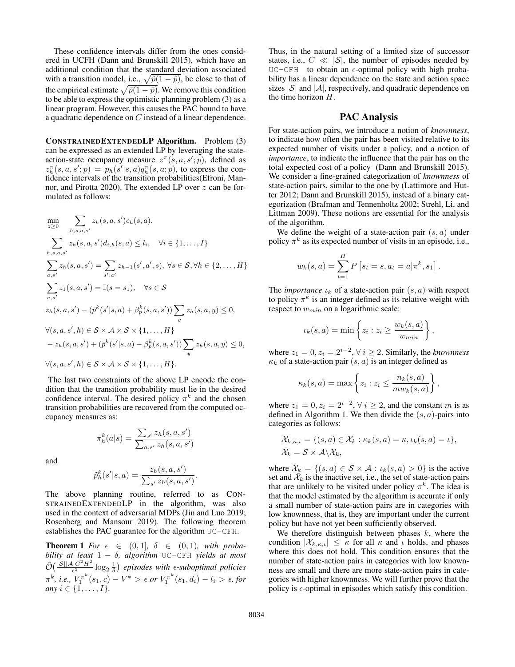These confidence intervals differ from the ones considered in UCFH (Dann and Brunskill 2015), which have an additional condition that the standard deviation associated with a transition model, i.e.,  $\sqrt{\tilde{p}(1-\tilde{p})}$ , be close to that of the empirical estimate  $\sqrt{\bar{p}(1-\bar{p})}$ . We remove this condition to be able to express the optimistic planning problem (3) as a linear program. However, this causes the PAC bound to have a quadratic dependence on C instead of a linear dependence.

CONSTRAINEDEXTENDEDLP Algorithm. Problem (3) can be expressed as an extended LP by leveraging the stateaction-state occupancy measure  $z^{\pi}(s, a, s'; p)$ , defined as  $z_h^{\pi}(s, a, s'; p) = p_h(s'|s, a) q_h^{\pi}(s, a; p)$ , to express the confidence intervals of the transition probabilities(Efroni, Mannor, and Pirotta 2020). The extended LP over z can be formulated as follows:

$$
\min_{z \geq 0} \sum_{h,s,a,s'} z_h(s,a,s')c_h(s,a),
$$
\n
$$
\sum_{h,s,a,s'} z_h(s,a,s')d_{i,h}(s,a) \leq l_i, \quad \forall i \in \{1, ..., I\}
$$
\n
$$
\sum_{a,s'} z_h(s,a,s') = \sum_{s',a'} z_{h-1}(s',a',s), \forall s \in S, \forall h \in \{2, ..., H\}
$$
\n
$$
\sum_{a,s'} z_1(s,a,s') = \mathbb{I}(s = s_1), \quad \forall s \in S
$$
\n
$$
z_h(s,a,s') - (\bar{p}^k(s'|s,a) + \beta_p^k(s,a,s')) \sum_{y} z_h(s,a,y) \leq 0,
$$
\n
$$
\forall (s,a,s',h) \in S \times A \times S \times \{1, ..., H\}
$$
\n
$$
-z_h(s,a,s') + (\bar{p}^k(s'|s,a) - \beta_p^k(s,a,s')) \sum_{y} z_h(s,a,y) \leq 0,
$$
\n
$$
\forall (s,a,s',h) \in S \times A \times S \times \{1, ..., H\}.
$$

The last two constraints of the above LP encode the condition that the transition probability must lie in the desired confidence interval. The desired policy  $\pi^k$  and the chosen transition probabilities are recovered from the computed occupancy measures as:

and

$$
\hat{p}_h^k(s'|s,a) = \frac{z_h(s,a,s')}{\sum_{s'} z_h(s,a,s')}
$$

 $\pi_h^k(a|s) = \frac{\sum_{s'} z_h(s, a, s')}{\sum_{s'} z_{h'}(s, a, s')}$ 

 $\sum_{a,s'} z_h(s,a,s')$ 

.

The above planning routine, referred to as CON-STRAINEDEXTENDEDLP in the algorithm, was also used in the context of adversarial MDPs (Jin and Luo 2019; Rosenberg and Mansour 2019). The following theorem establishes the PAC guarantee for the algorithm UC-CFH.

**Theorem 1** For  $\epsilon \in (0,1]$ ,  $\delta \in (0,1)$ *, with probability at least* 1 − δ*, algorithm* UC-CFH *yields at most*  $\tilde{\mathcal{O}}\big( \frac{|\mathcal{S}||\mathcal{A}|C^2H^2}{\epsilon^2}$  $\frac{d|C^2H^2}{\epsilon^2}$   $\log_2\frac{1}{\delta}$  *episodes with*  $\epsilon$ *-suboptimal policies*  $π<sup>k</sup>$ , *i.e.*,  $V<sub>1</sub><sup>π<sup>k</sup></sup> (s<sub>1</sub>, c) − V<sup>*</sup> > ε or V<sub>1</sub><sup>π<sup>k</sup></sup> (s<sub>1</sub>, d<sub>i</sub>) − l<sub>i</sub> > ε, for$ *any*  $i \in \{1, \ldots, I\}$ .

Thus, in the natural setting of a limited size of successor states, i.e.,  $C \ll |\mathcal{S}|$ , the number of episodes needed by UC-CFH to obtain an  $\epsilon$ -optimal policy with high probability has a linear dependence on the state and action space sizes  $|\mathcal{S}|$  and  $|\mathcal{A}|$ , respectively, and quadratic dependence on the time horizon H.

### PAC Analysis

For state-action pairs, we introduce a notion of *knownness*, to indicate how often the pair has been visited relative to its expected number of visits under a policy, and a notion of *importance*, to indicate the influence that the pair has on the total expected cost of a policy (Dann and Brunskill 2015). We consider a fine-grained categorization of *knownness* of state-action pairs, similar to the one by (Lattimore and Hutter 2012; Dann and Brunskill 2015), instead of a binary categorization (Brafman and Tennenholtz 2002; Strehl, Li, and Littman 2009). These notions are essential for the analysis of the algorithm.

We define the weight of a state-action pair  $(s, a)$  under policy  $\pi^k$  as its expected number of visits in an episode, i.e.,

$$
w_k(s, a) = \sum_{t=1}^{H} P[s_t = s, a_t = a | \pi^k, s_1].
$$

The *importance*  $\iota_k$  of a state-action pair  $(s, a)$  with respect to policy  $\pi^k$  is an integer defined as its relative weight with respect to  $w_{min}$  on a logarithmic scale:

$$
\iota_k(s,a) = \min\left\{z_i : z_i \ge \frac{w_k(s,a)}{w_{min}}\right\},\,
$$

where  $z_1 = 0, z_i = 2^{i-2}, \forall i \geq 2$ . Similarly, the *knownness*  $\kappa_k$  of a state-action pair  $(s, a)$  is an integer defined as

$$
\kappa_k(s,a) = \max\left\{z_i : z_i \leq \frac{n_k(s,a)}{mw_k(s,a)}\right\},\,
$$

where  $z_1 = 0, z_i = 2^{i-2}, \forall i \geq 2$ , and the constant m is as defined in Algorithm 1. We then divide the  $(s, a)$ -pairs into categories as follows:

$$
\mathcal{X}_{k,\kappa,\iota} = \{ (s,a) \in \mathcal{X}_k : \kappa_k(s,a) = \kappa, \iota_k(s,a) = \iota \},
$$
  

$$
\bar{\mathcal{X}}_k = \mathcal{S} \times \mathcal{A} \backslash \mathcal{X}_k,
$$

where  $\mathcal{X}_k = \{(s, a) \in \mathcal{S} \times \mathcal{A} : \iota_k(s, a) > 0\}$  is the active set and  $\mathcal{X}_k$  is the inactive set, i.e., the set of state-action pairs that are unlikely to be visited under policy  $\pi^k$ . The idea is that the model estimated by the algorithm is accurate if only a small number of state-action pairs are in categories with low knownness, that is, they are important under the current policy but have not yet been sufficiently observed.

We therefore distinguish between phases  $k$ , where the condition  $|\mathcal{X}_{k,\kappa,\iota}| \leq \kappa$  for all  $\kappa$  and  $\iota$  holds, and phases where this does not hold. This condition ensures that the number of state-action pairs in categories with low knownness are small and there are more state-action pairs in categories with higher knownness. We will further prove that the policy is  $\epsilon$ -optimal in episodes which satisfy this condition.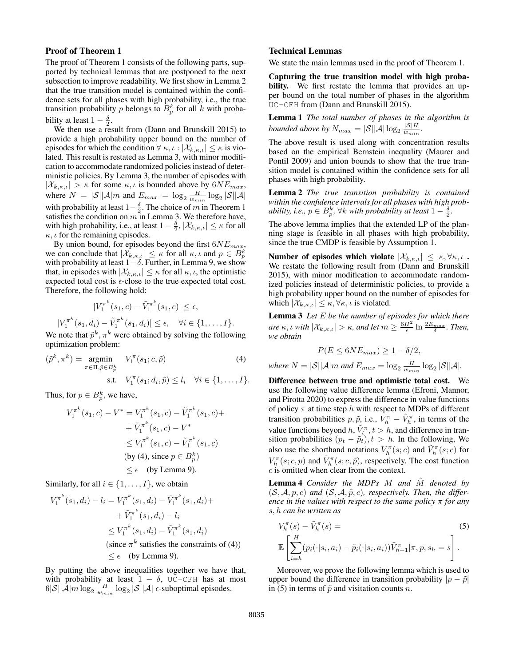#### Proof of Theorem 1

The proof of Theorem 1 consists of the following parts, supported by technical lemmas that are postponed to the next subsection to improve readability. We first show in Lemma 2 that the true transition model is contained within the confidence sets for all phases with high probability, i.e., the true transition probability p belongs to  $B_p^k$  for all k with probability at least  $1 - \frac{\delta}{2}$ .

We then use a result from (Dann and Brunskill 2015) to provide a high probability upper bound on the number of episodes for which the condition  $\forall \kappa, \iota : |\mathcal{X}_{k,\kappa,\iota}| \leq \kappa$  is violated. This result is restated as Lemma 3, with minor modification to accommodate randomized policies instead of deterministic policies. By Lemma 3, the number of episodes with  $|\mathcal{X}_{k,\kappa,\iota}| > \kappa$  for some  $\kappa,\iota$  is bounded above by  $6NE_{max}$ , where  $N = |\mathcal{S}||\mathcal{A}|m$  and  $E_{max} = \log_2 \frac{H}{w_{min}} \log_2 |\mathcal{S}||\mathcal{A}|$ with probability at least  $1-\frac{\delta}{2}$ . The choice of m in Theorem 1 satisfies the condition on  $m$  in Lemma 3. We therefore have, with high probability, i.e., at least  $1 - \frac{\delta}{2}$ ,  $|\mathcal{X}_{k,\kappa,\iota}| \leq \kappa$  for all  $\kappa$ ,  $\iota$  for the remaining episodes.

By union bound, for episodes beyond the first  $6NE_{max}$ , we can conclude that  $|\mathcal{X}_{k,\kappa,\iota}| \leq \kappa$  for all  $\kappa, \iota$  and  $p \in B_p^k$  with probability at least  $1-\delta$ . Further, in Lemma 9, we show that, in episodes with  $|\mathcal{X}_{k,\kappa,\iota}| \leq \kappa$  for all  $\kappa,\iota$ , the optimistic expected total cost is  $\epsilon$ -close to the true expected total cost. Therefore, the following hold:

$$
|V_1^{\pi^k}(s_1, c) - \tilde{V}_1^{\pi^k}(s_1, c)| \le \epsilon,
$$

$$
|V_1^{\pi^k}(s_1, d_i) - \tilde{V}_1^{\pi^k}(s_1, d_i)| \le \epsilon, \quad \forall i \in \{1, ..., I\}.
$$
  
We note that  $\tilde{p}^k, \pi^k$  were obtained by solving the following optimization problem:

$$
(\tilde{p}^k, \pi^k) = \underset{\pi \in \Pi, \tilde{p} \in B_p^k}{\text{argmin}} \quad V_1^{\pi}(s_1; c, \tilde{p}) \tag{4}
$$
  
s.t. 
$$
V_1^{\pi}(s_1; d_i, \tilde{p}) \le l_i \quad \forall i \in \{1, \dots, I\}.
$$

Thus, for  $p \in B_p^k$ , we have,

k

$$
V_1^{\pi^k}(s_1, c) - V^* = V_1^{\pi^k}(s_1, c) - \tilde{V}_1^{\pi^k}(s_1, c) +
$$
  
+  $\tilde{V}_1^{\pi^k}(s_1, c) - V^*$   
 $\leq V_1^{\pi^k}(s_1, c) - \tilde{V}_1^{\pi^k}(s_1, c)$   
(by (4), since  $p \in B_p^k$ )  
 $\leq \epsilon$  (by Lemma 9).

Similarly, for all  $i \in \{1, \ldots, I\}$ , we obtain

$$
V_1^{\pi^k}(s_1, d_i) - l_i = V_1^{\pi^k}(s_1, d_i) - \tilde{V}_1^{\pi^k}(s_1, d_i) +
$$
  
+  $\tilde{V}_1^{\pi^k}(s_1, d_i) - l_i$   
 $\leq V_1^{\pi^k}(s_1, d_i) - \tilde{V}_1^{\pi^k}(s_1, d_i)$   
(since  $\pi^k$  satisfies the constraints of (4))  
 $\leq \epsilon$  (by Lemma 9).

By putting the above inequalities together we have that, with probability at least  $1 - \delta$ , UC-CFH has at most  $6|\mathcal{S}||\mathcal{A}|m\log_2\frac{H}{w_{min}}\log_2|\mathcal{S}||\mathcal{A}| \epsilon$ -suboptimal episodes.

#### Technical Lemmas

We state the main lemmas used in the proof of Theorem 1.

Capturing the true transition model with high probability. We first restate the lemma that provides an upper bound on the total number of phases in the algorithm UC-CFH from (Dann and Brunskill 2015).

Lemma 1 *The total number of phases in the algorithm is bounded above by*  $N_{max} = |\mathcal{S}||\mathcal{A}| \log_2 \frac{|\mathcal{S}|H}{w_{min}}$  $rac{|\mathcal{S}|H}{w_{min}}$ .

The above result is used along with concentration results based on the empirical Bernstein inequality (Maurer and Pontil 2009) and union bounds to show that the true transition model is contained within the confidence sets for all phases with high probability.

Lemma 2 *The true transition probability is contained within the confidence intervals for all phases with high probability, i.e.,*  $p \in B_p^k$ ,  $\forall k$  *with probability at least*  $1 - \frac{\delta^2}{2}$ *.* 

The above lemma implies that the extended LP of the planning stage is feasible in all phases with high probability, since the true CMDP is feasible by Assumption 1.

Number of episodes which violate  $|\mathcal{X}_{k,\kappa,\iota}| \leq \kappa, \forall \kappa, \iota$ . We restate the following result from (Dann and Brunskill 2015), with minor modification to accommodate randomized policies instead of deterministic policies, to provide a high probability upper bound on the number of episodes for which  $|\mathcal{X}_{k,\kappa,\iota}| \leq \kappa, \forall \kappa, \iota$  is violated.

Lemma 3 *Let* E *be the number of episodes for which there are*  $\kappa$ , *ι with*  $|\mathcal{X}_{k,\kappa,\iota}| > \kappa$ , *and let*  $m \geq \frac{6H^2}{\epsilon} \ln \frac{2E_{max}}{\delta}$ . *Then*, *we obtain*

$$
P(E \le 6NE_{max}) \ge 1 - \delta/2,
$$

where  $N = |\mathcal{S}| |\mathcal{A}| m$  and  $E_{max} = \log_2 \frac{H}{w_{min}} \log_2 |\mathcal{S}| |\mathcal{A}|$ .

Difference between true and optimistic total cost. We use the following value difference lemma (Efroni, Mannor, and Pirotta 2020) to express the difference in value functions of policy  $\pi$  at time step h with respect to MDPs of different transition probabilities  $p, \tilde{p}, i.e., V_h^{\pi} - \tilde{V}_h^{\pi}$ , in terms of the value functions beyond h,  $\tilde{V}_t^{\pi}$ ,  $t > h$ , and difference in transition probabilities  $(p_t - \tilde{p}_t), t > h$ . In the following, We also use the shorthand notations  $V_h^{\pi}(s; c)$  and  $\tilde{V}_h^{\pi}(s; c)$  for  $V_h^{\pi}(s; c, p)$  and  $\tilde{V}_h^{\pi}(s; c, \tilde{p})$ , respectively. The cost function  $c$  is omitted when clear from the context.

Lemma 4 *Consider the MDPs* M *and* M˜ *denoted by*  $(S, \mathcal{A}, p, c)$  and  $(S, \mathcal{A}, \tilde{p}, c)$ , respectively. Then, the differ*ence in the values with respect to the same policy* π *for any* s, h *can be written as*

$$
V_h^{\pi}(s) - \tilde{V}_h^{\pi}(s) =
$$
  
\n
$$
\mathbb{E}\left[\sum_{i=h}^H (p_i(\cdot|s_i, a_i) - \tilde{p}_i(\cdot|s_i, a_i))\tilde{V}_{h+1}^{\pi}|\pi, p, s_h = s\right].
$$
\n(5)

Moreover, we prove the following lemma which is used to upper bound the difference in transition probability  $|p - \tilde{p}|$ in (5) in terms of  $\tilde{p}$  and visitation counts n.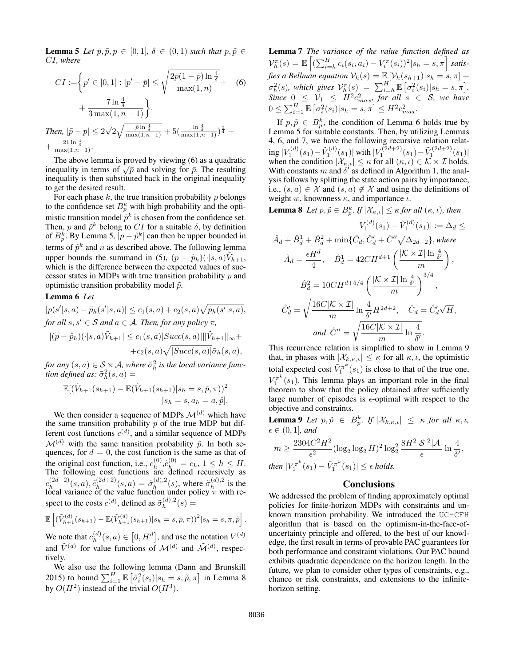**Lemma 5** *Let*  $\bar{p}, \tilde{p}, p \in [0, 1], \delta \in (0, 1)$  *such that*  $p, \tilde{p} \in$ CI*, where*

$$
CI := \left\{ p' \in [0, 1] : |p' - \bar{p}| \le \sqrt{\frac{2\bar{p}(1-\bar{p})\ln\frac{4}{\delta}}{\max(1, n)}} + \frac{7\ln\frac{4}{\delta}}{3\max(1, n-1)} \right\}.
$$
  
Then,  $|\tilde{p} - p| \le 2\sqrt{2}\sqrt{\frac{\bar{p}\ln\frac{4}{\delta}}{\max(1, n-1)}} + 5(\frac{\ln\frac{4}{\delta}}{\max(1, n-1)})^{\frac{3}{4}} + \frac{21\ln\frac{4}{\delta}}{\max(1, n-1)}.$  (6)

The above lemma is proved by viewing (6) as a quadratic The above lemma is proved by viewing (6) as a quadratic inequality in terms of  $\sqrt{\bar{p}}$  and solving for  $\bar{p}$ . The resulting inequality is then substituted back in the original inequality to get the desired result.

For each phase  $k$ , the true transition probability  $p$  belongs to the confidence set  $B_p^k$  with high probability and the optimistic transition model  $\tilde{p}^k$  is chosen from the confidence set. Then, p and  $\tilde{p}^k$  belong to CI for a suitable  $\delta$ , by definition of  $B_p^k$ . By Lemma 5,  $|p - \tilde{p}^k|$  can then be upper bounded in terms of  $\tilde{p}^k$  and n as described above. The following lemma upper bounds the summand in (5),  $(p - \tilde{p}_h)(\cdot | s, a) \tilde{V}_{h+1}$ , which is the difference between the expected values of successor states in MDPs with true transition probability  $p$  and optimistic transition probability model  $\tilde{p}$ .

#### Lemma 6 *Let*

 $|p(s'|s, a) - \tilde{p}_h(s'|s, a)| \leq c_1(s, a) + c_2(s, a) \sqrt{\tilde{p}_h(s'|s, a)},$ *for all*  $s, s' \in S$  *and*  $a \in A$ *. Then, for any policy*  $\pi$ *,* 

$$
|(p - \tilde{p}_h)(\cdot|s, a)\tilde{V}_{h+1}| \le c_1(s, a)|Succ(s, a)||\tilde{V}_{h+1}||_{\infty} ++c_2(s, a)\sqrt{|Succ(s, a)|}\tilde{\sigma}_h(s, a),
$$

*for any*  $(s, a) \in S \times A$ , where  $\tilde{\sigma}_h^2$  is the local variance func*tion defined as:*  $\tilde{\sigma}_h^2(s, a) =$ 

$$
\mathbb{E}[(\tilde{V}_{h+1}(s_{h+1}) - \mathbb{E}(\tilde{V}_{h+1}(s_{h+1})|s_h = s, \tilde{p}, \pi))^2
$$
  

$$
|s_h = s, a_h = a, \tilde{p}].
$$

We then consider a sequence of MDPs  $\mathcal{M}^{(d)}$  which have the same transition probability  $p$  of the true MDP but different cost functions  $c^{(d)}$ , and a similar sequence of MDPs  $\tilde{\mathcal{M}}^{(d)}$  with the same transition probability  $\tilde{p}$ . In both sequences, for  $d = 0$ , the cost function is the same as that of the original cost function, i.e.,  $c_h^{(0)}$ the original cost function, i.e.,  $c_h^{(0)}$ ,  $\tilde{c}_h^{(0)} = c_h$ ,  $1 \le h \le H$ .<br>The following cost functions are defined recursively as  $c_h^{(2d+2)}$  $\tilde{c}^{(2d+2)}_{h}(s,a), \tilde{c}^{(2d+2)}_{h_{c,d}}$  $\tilde{\sigma}_{h}^{(2d+2)}(s, a) = \tilde{\sigma}_{h}^{(d), 2}$  $\tilde{\sigma}_h^{(d),2}(s)$ , where  $\tilde{\sigma}_h^{(d),2}$  $\int_{h}^{(a),2}$  is the local variance of the value function under policy  $\pi$  with respect to the costs  $c^{(d)}$ , defined as  $\tilde{\sigma}_h^{(d),2}$  $h^{(a),2}(s) =$ 

$$
\mathbb{E}\left[ (\tilde{V}_{h+1}^{(d)}(s_{h+1}) - \mathbb{E}(\tilde{V}_{h+1}^{(d)}(s_{h+1})|s_h = s, \tilde{p}, \pi))^2 | s_h = s, \pi, \tilde{p} \right].
$$

We note that  $c_h^{(d)}$  $\binom{d}{h}(s,a) \in [0, H^d]$ , and use the notation  $V^{(d)}$ and  $\tilde{V}^{(d)}$  for value functions of  $\mathcal{M}^{(d)}$  and  $\tilde{\mathcal{M}}^{(d)}$ , respectively.

We also use the following lemma (Dann and Brunskill 2015) to bound  $\sum_{i=1}^{H} \mathbb{E} \left[ \tilde{\sigma}_i^2(s_i) | s_h = s, \tilde{p}, \pi \right]$  in Lemma 8 by  $O(H^2)$  instead of the trivial  $O(H^3)$ .

Lemma 7 *The variance of the value function defined as*  $\mathcal{V}_h^{\pi}(s) = \mathbb{E}\left[ (\sum_{i=h}^H c_i(s_i, a_i) - V_i^{\pi}(s_i))^2 | s_h = s, \pi \right]$  satis*fies a Bellman equation*  $\mathcal{V}_h(s) = \mathbb{E} \left[ \mathcal{V}_h(s_{h+1}) | s_h = s, \pi \right] +$  $\sigma_h^2(s)$ , which gives  $\mathcal{V}_h^{\pi}(s) = \sum_{i=h}^H \mathbb{E} \left[ \sigma_i^2(s_i) | s_h = s, \pi \right]$ .  $Since 0 \leq V_1 \leq H^2 c_{max}^2, for all s \in S, we have$  $0 \le \sum_{i=1}^{H} \mathbb{E} \left[ \sigma_i^2(s_i) | s_h = s, \pi \right] \le H^2 c_{max}^2.$ 

If  $p, \tilde{p} \in B_p^k$ , the condition of Lemma 6 holds true by Lemma 5 for suitable constants. Then, by utilizing Lemmas 4, 6, and 7, we have the following recursive relation relat- $\inf |V_1^{(d)}(s_1) - \tilde{V}_1^{(d)}(s_1)|$  with  $|V_1^{(2d+2)}(s_1) - \tilde{V}_1^{(2d+2)}(s_1)|$ when the condition  $|\mathcal{X}_{\kappa,\iota}| \leq \kappa$  for all  $(\kappa,\iota) \in \mathcal{K} \times \mathcal{I}$  holds. With constants m and  $\delta'$  as defined in Algorithm 1, the analysis follows by splitting the state action pairs by importance, i.e.,  $(s, a) \in \mathcal{X}$  and  $(s, a) \notin \mathcal{X}$  and using the definitions of weight w, knownness  $\kappa$ , and importance  $\iota$ .

**Lemma 8** Let  $p, \tilde{p} \in B_p^k$ . If  $|\mathcal{X}_{\kappa,\iota}| \leq \kappa$  for all  $(\kappa,\iota)$ , then

$$
|V_1^{(d)}(s_1) - \tilde{V}_1^{(d)}(s_1)| := \Delta_d \le
$$
  

$$
\hat{A}_d + \hat{B}_d^1 + \hat{B}_d^2 + \min{\{\hat{C}_d, \hat{C}_d' + \hat{C}'' \sqrt{\Delta_{2d+2}}\}}, where
$$
  

$$
\hat{A}_d = \frac{\epsilon H^d}{4}, \quad \hat{B}_d^1 = 42CH^{d+1}\left(\frac{|\mathcal{K} \times \mathcal{I}| \ln \frac{4}{\delta'}}{m}\right),
$$
  

$$
\hat{B}_d^2 = 10CH^{d+5/4}\left(\frac{|\mathcal{K} \times \mathcal{I}| \ln \frac{4}{\delta'}}{m}\right)^{3/4},
$$
  

$$
\hat{C}_d' = \sqrt{\frac{16C|\mathcal{K} \times \mathcal{I}|}{m} \ln \frac{4}{\delta'}}H^{2d+2}, \quad \hat{C}_d = \hat{C}_d' \sqrt{H},
$$
  
and 
$$
\hat{C}'' = \sqrt{\frac{16C|\mathcal{K} \times \mathcal{I}|}{m} \ln \frac{4}{\delta'}}.
$$

This recurrence relation is simplified to show in Lemma 9 that, in phases with  $|\mathcal{X}_{k,\kappa,\iota}| \leq \kappa$  for all  $\kappa,\iota$ , the optimistic total expected cost  $\tilde{V}_1^{\pi^k}(s_1)$  is close to that of the true one,  $V_1^{\pi^k}(s_1)$ . This lemma plays an important role in the final theorem to show that the policy obtained after sufficiently large number of episodes is  $\epsilon$ -optimal with respect to the objective and constraints.

**Lemma 9** Let  $p, \tilde{p} \in B_p^k$ . If  $|\mathcal{X}_{k,\kappa,\iota}| \leq \kappa$  for all  $\kappa, \iota$ ,  $\epsilon \in (0,1]$ *, and* 

$$
m \ge \frac{2304C^2H^2}{\epsilon^2} (\log_2 \log_2 H)^2 \log_2^2 \frac{8H^2|\mathcal{S}|^2|\mathcal{A}|}{\epsilon} \ln \frac{4}{\delta'},
$$
  
then  $|V_1^{\pi^k}(s_1) - \tilde{V}_1^{\pi^k}(s_1)| \le \epsilon$  holds.

### **Conclusions**

We addressed the problem of finding approximately optimal policies for finite-horizon MDPs with constraints and unknown transition probability. We introduced the UC-CFH algorithm that is based on the optimism-in-the-face-ofuncertainty principle and offered, to the best of our knowledge, the first result in terms of provable PAC guarantees for both performance and constraint violations. Our PAC bound exhibits quadratic dependence on the horizon length. In the future, we plan to consider other types of constraints, e.g., chance or risk constraints, and extensions to the infinitehorizon setting.